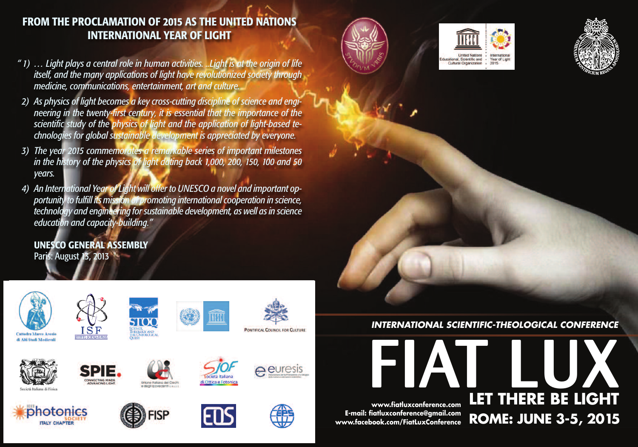# **FROM THE PROCLAMATION OF 2015 AS THE UNITED NATIONS INTERNATIONAL YEAR OF LIGHT**

- *" 1) … Light plays a central role in human activities. ..Light is at the origin of life itself, and the many applications of light have revolutionized society through medicine, communications, entertainment, art and culture.*
- *2) As physics of light becomes a key cross-cutting discipline of science and engineering in the twenty-first century, it is essential that the importance of the scientific study of the physics of light and the application of light-based technologies for global sustainable development is appreciated by everyone.*
- *3) The year 2015 commemorates a remarkable series of important milestones in the history of the physics of light dating back 1,000, 200, 150, 100 and 50 years.*
- *4) An International Year of Light will offer to UNESCO a novel and important opportunity to fulfill its mission of promoting internationalcooperation in science, technology and engineering forsustainable development, as well asin science education and capacity-building."*

**UNESCO GENERAL ASSEMBLY** Paris: August 13, 2013









*INTERNATIONAL SCIENTIFIC-THEOLOGICAL CONFERENCE*

**LET TH**

**L**

**ERE**

**ROME: JUNE 3-5, 2015**

**U** 

**BE LI**

**X**

**GHT**

**FIAT www.fiatluxconference.com E-mail: fiatluxconference@gmail.com www.facebook.com/FiatLuxConference**